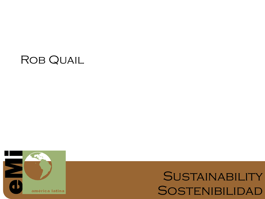## ROB QUAIL



# SUSTAINABILITY **SOSTENIBILIDAD**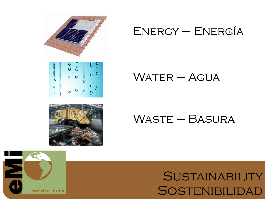

### $ENERGY - ENERGÍA$

### $W$ ATER – AGUA

### Waste – Basura

# **SUSTAINABILITY SOSTENIBILIDAD**

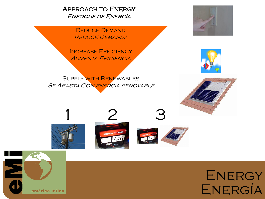Approach to Energy Enfoque de Energía

> Reduce Demand Reduce Demanda

INCREASE EFFICIENCY Aumenta Eficiencia

Supply with Renewables SE ABASTA CON ENERGIA RENOVABLE



















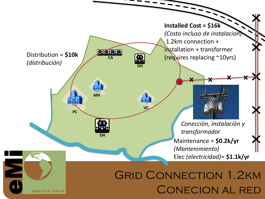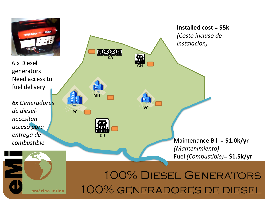

6 x Diesel generators Need access to fuel delivery

*6x Generadores de dieselnecesitan acceso para entrega de combustible*

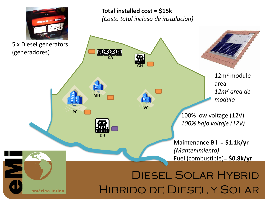

américa latina

5 x Diesel generators (generadores)

### **Total installed cost = \$15k**  *(Costo total incluso de instalacion)*

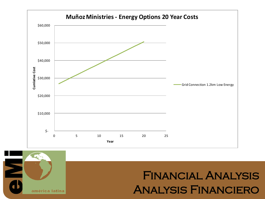



# Financial Analysis Analysis Financiero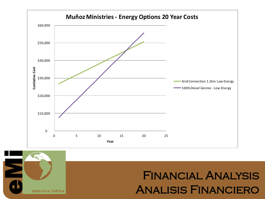



# Financial Analysis Analisis Financiero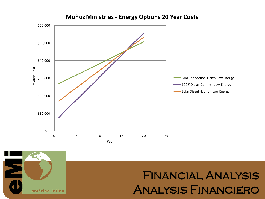



# Financial Analysis Analysis Financiero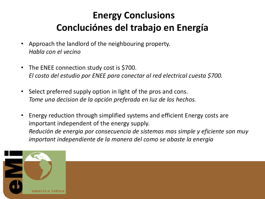### **Energy Conclusions Concluciónes del trabajo en Energía**

- Approach the landlord of the neighbouring property. *Habla con el vecino*
- The ENEE connection study cost is \$700. *El costo del estudio por ENEE para conectar al red electrical cuesta \$700.*
- Select preferred supply option in light of the pros and cons. *Tome una decision de la opción preferada en luz de los hechos.*
- Energy reduction through simplified systems and efficient Energy costs are important independent of the energy supply. *Redución de energia por consecuencia de sistemas mas simple y eficiente son muy important independiente de la manera del como se abaste la energia*

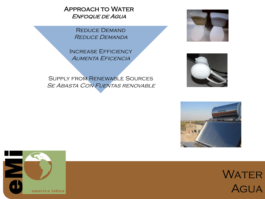Approach to Water Enfoque de Agua

> Reduce Demand Reduce Demanda

Increase Efficiency Aumenta Eficencia

Supply from Renewable Sources SE ABASTA CON FUENTAS RENOVABLE